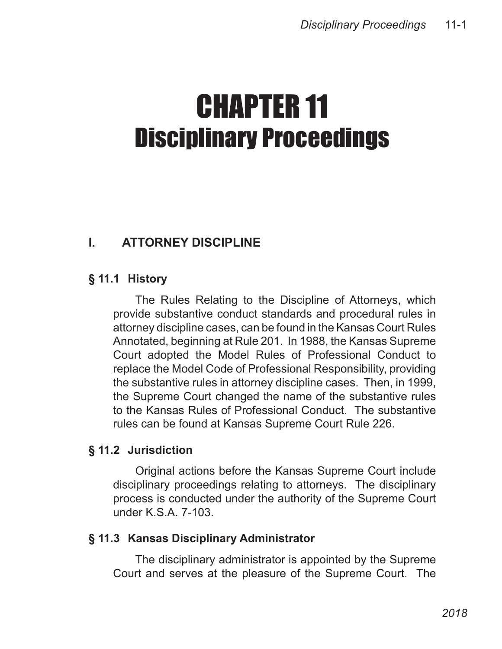# CHAPTER 11 Disciplinary Proceedings

## **I. ATTORNEY DISCIPLINE**

## **§ 11.1 History**

The Rules Relating to the Discipline of Attorneys, which provide substantive conduct standards and procedural rules in attorney discipline cases, can be found in the Kansas Court Rules Annotated, beginning at Rule 201. In 1988, the Kansas Supreme Court adopted the Model Rules of Professional Conduct to replace the Model Code of Professional Responsibility, providing the substantive rules in attorney discipline cases. Then, in 1999, the Supreme Court changed the name of the substantive rules to the Kansas Rules of Professional Conduct. The substantive rules can be found at Kansas Supreme Court Rule 226.

## **§ 11.2 Jurisdiction**

Original actions before the Kansas Supreme Court include disciplinary proceedings relating to attorneys. The disciplinary process is conducted under the authority of the Supreme Court under K.S.A. 7-103.

## **§ 11.3 Kansas Disciplinary Administrator**

The disciplinary administrator is appointed by the Supreme Court and serves at the pleasure of the Supreme Court. The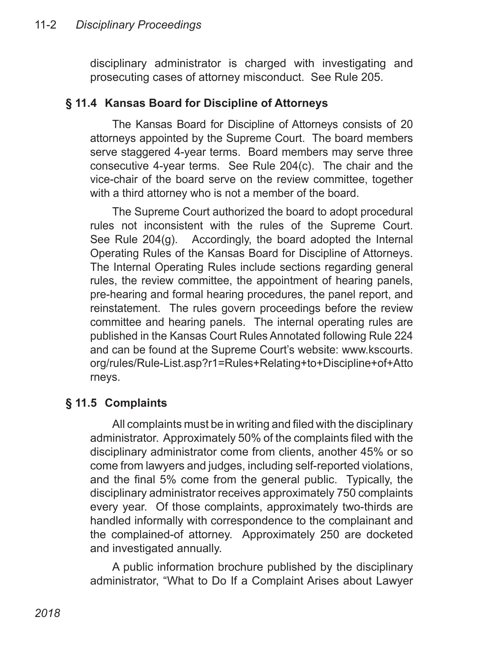disciplinary administrator is charged with investigating and prosecuting cases of attorney misconduct. See Rule 205.

#### **§ 11.4 Kansas Board for Discipline of Attorneys**

The Kansas Board for Discipline of Attorneys consists of 20 attorneys appointed by the Supreme Court. The board members serve staggered 4-year terms. Board members may serve three consecutive 4-year terms. See Rule 204(c). The chair and the vice-chair of the board serve on the review committee, together with a third attorney who is not a member of the board.

The Supreme Court authorized the board to adopt procedural rules not inconsistent with the rules of the Supreme Court. See Rule 204(g). Accordingly, the board adopted the Internal Operating Rules of the Kansas Board for Discipline of Attorneys. The Internal Operating Rules include sections regarding general rules, the review committee, the appointment of hearing panels, pre-hearing and formal hearing procedures, the panel report, and reinstatement. The rules govern proceedings before the review committee and hearing panels. The internal operating rules are published in the Kansas Court Rules Annotated following Rule 224 and can be found at the Supreme Court's website: www.kscourts. org/rules/Rule-List.asp?r1=Rules+Relating+to+Discipline+of+Atto rneys.

## **§ 11.5 Complaints**

All complaints must be in writing and filed with the disciplinary administrator. Approximately 50% of the complaints filed with the disciplinary administrator come from clients, another 45% or so come from lawyers and judges, including self-reported violations, and the final 5% come from the general public. Typically, the disciplinary administrator receives approximately 750 complaints every year. Of those complaints, approximately two-thirds are handled informally with correspondence to the complainant and the complained-of attorney. Approximately 250 are docketed and investigated annually.

A public information brochure published by the disciplinary administrator, "What to Do If a Complaint Arises about Lawyer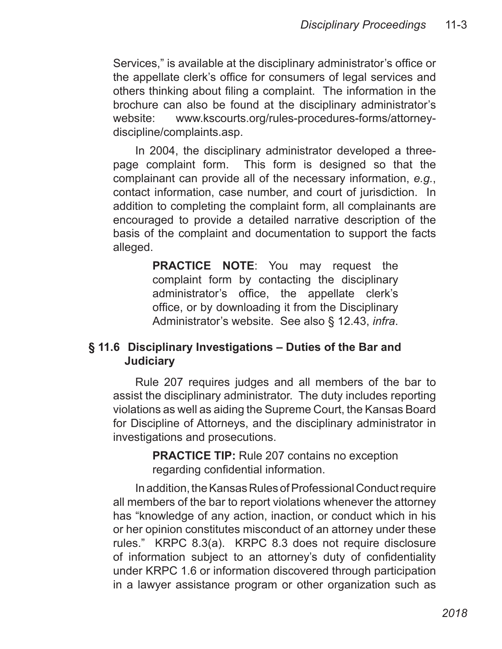Services," is available at the disciplinary administrator's office or the appellate clerk's office for consumers of legal services and others thinking about filing a complaint. The information in the brochure can also be found at the disciplinary administrator's website: www.kscourts.org/rules-procedures-forms/attorneydiscipline/complaints.asp.

In 2004, the disciplinary administrator developed a threepage complaint form. This form is designed so that the complainant can provide all of the necessary information, *e.g.*, contact information, case number, and court of jurisdiction. In addition to completing the complaint form, all complainants are encouraged to provide a detailed narrative description of the basis of the complaint and documentation to support the facts alleged.

> **PRACTICE NOTE**: You may request the complaint form by contacting the disciplinary administrator's office, the appellate clerk's office, or by downloading it from the Disciplinary Administrator's website. See also § 12.43, *infra*.

#### **§ 11.6 Disciplinary Investigations – Duties of the Bar and Judiciary**

Rule 207 requires judges and all members of the bar to assist the disciplinary administrator. The duty includes reporting violations as well as aiding the Supreme Court, the Kansas Board for Discipline of Attorneys, and the disciplinary administrator in investigations and prosecutions.

> **PRACTICE TIP:** Rule 207 contains no exception regarding confidential information.

In addition, the Kansas Rules of Professional Conduct require all members of the bar to report violations whenever the attorney has "knowledge of any action, inaction, or conduct which in his or her opinion constitutes misconduct of an attorney under these rules." KRPC 8.3(a). KRPC 8.3 does not require disclosure of information subject to an attorney's duty of confidentiality under KRPC 1.6 or information discovered through participation in a lawyer assistance program or other organization such as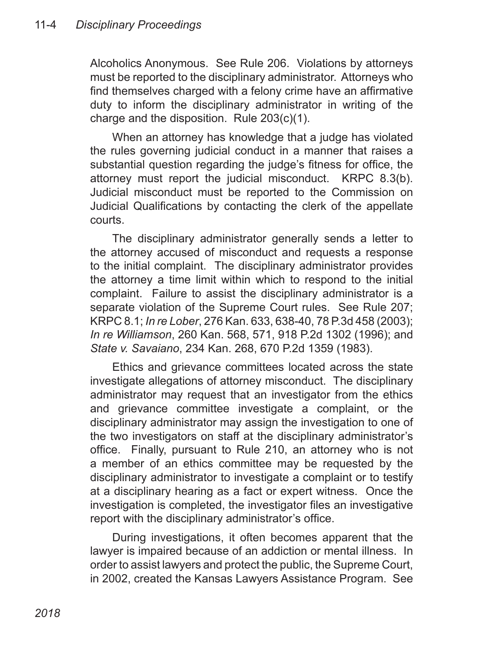Alcoholics Anonymous. See Rule 206. Violations by attorneys must be reported to the disciplinary administrator. Attorneys who find themselves charged with a felony crime have an affirmative duty to inform the disciplinary administrator in writing of the charge and the disposition. Rule 203(c)(1).

When an attorney has knowledge that a judge has violated the rules governing judicial conduct in a manner that raises a substantial question regarding the judge's fitness for office, the attorney must report the judicial misconduct. KRPC 8.3(b). Judicial misconduct must be reported to the Commission on Judicial Qualifications by contacting the clerk of the appellate courts.

The disciplinary administrator generally sends a letter to the attorney accused of misconduct and requests a response to the initial complaint. The disciplinary administrator provides the attorney a time limit within which to respond to the initial complaint. Failure to assist the disciplinary administrator is a separate violation of the Supreme Court rules. See Rule 207; KRPC 8.1; *In re Lober*, 276 Kan. 633, 638-40, 78 P.3d 458 (2003); *In re Williamson*, 260 Kan. 568, 571, 918 P.2d 1302 (1996); and *State v. Savaiano*, 234 Kan. 268, 670 P.2d 1359 (1983).

Ethics and grievance committees located across the state investigate allegations of attorney misconduct. The disciplinary administrator may request that an investigator from the ethics and grievance committee investigate a complaint, or the disciplinary administrator may assign the investigation to one of the two investigators on staff at the disciplinary administrator's office. Finally, pursuant to Rule 210, an attorney who is not a member of an ethics committee may be requested by the disciplinary administrator to investigate a complaint or to testify at a disciplinary hearing as a fact or expert witness. Once the investigation is completed, the investigator files an investigative report with the disciplinary administrator's office.

During investigations, it often becomes apparent that the lawyer is impaired because of an addiction or mental illness. In order to assist lawyers and protect the public, the Supreme Court, in 2002, created the Kansas Lawyers Assistance Program. See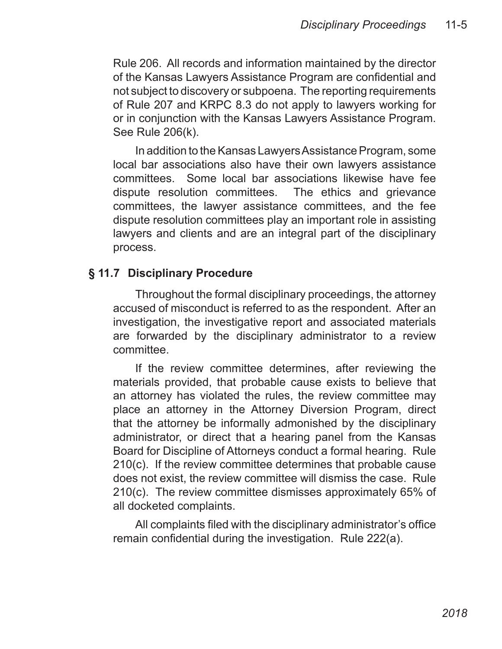Rule 206. All records and information maintained by the director of the Kansas Lawyers Assistance Program are confidential and not subject to discovery or subpoena. The reporting requirements of Rule 207 and KRPC 8.3 do not apply to lawyers working for or in conjunction with the Kansas Lawyers Assistance Program. See Rule 206(k).

In addition to the Kansas Lawyers Assistance Program, some local bar associations also have their own lawyers assistance committees. Some local bar associations likewise have fee dispute resolution committees. The ethics and grievance committees, the lawyer assistance committees, and the fee dispute resolution committees play an important role in assisting lawyers and clients and are an integral part of the disciplinary process.

#### **§ 11.7 Disciplinary Procedure**

Throughout the formal disciplinary proceedings, the attorney accused of misconduct is referred to as the respondent. After an investigation, the investigative report and associated materials are forwarded by the disciplinary administrator to a review committee.

If the review committee determines, after reviewing the materials provided, that probable cause exists to believe that an attorney has violated the rules, the review committee may place an attorney in the Attorney Diversion Program, direct that the attorney be informally admonished by the disciplinary administrator, or direct that a hearing panel from the Kansas Board for Discipline of Attorneys conduct a formal hearing. Rule 210(c). If the review committee determines that probable cause does not exist, the review committee will dismiss the case. Rule 210(c). The review committee dismisses approximately 65% of all docketed complaints.

All complaints filed with the disciplinary administrator's office remain confidential during the investigation. Rule 222(a).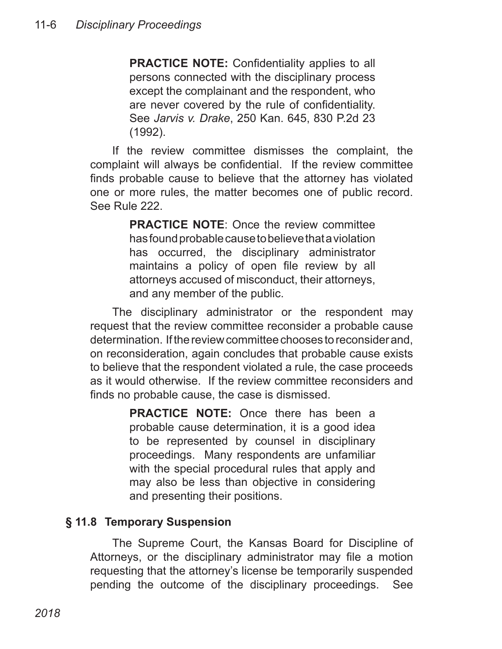**PRACTICE NOTE:** Confidentiality applies to all persons connected with the disciplinary process except the complainant and the respondent, who are never covered by the rule of confidentiality. See *Jarvis v. Drake*, 250 Kan. 645, 830 P.2d 23 (1992).

If the review committee dismisses the complaint, the complaint will always be confidential. If the review committee finds probable cause to believe that the attorney has violated one or more rules, the matter becomes one of public record. See Rule 222.

> **PRACTICE NOTE**: Once the review committee has found probable cause to believe that a violation has occurred, the disciplinary administrator maintains a policy of open file review by all attorneys accused of misconduct, their attorneys, and any member of the public.

The disciplinary administrator or the respondent may request that the review committee reconsider a probable cause determination. If the review committee chooses to reconsider and, on reconsideration, again concludes that probable cause exists to believe that the respondent violated a rule, the case proceeds as it would otherwise. If the review committee reconsiders and finds no probable cause, the case is dismissed.

> **PRACTICE NOTE:** Once there has been a probable cause determination, it is a good idea to be represented by counsel in disciplinary proceedings. Many respondents are unfamiliar with the special procedural rules that apply and may also be less than objective in considering and presenting their positions.

## **§ 11.8 Temporary Suspension**

The Supreme Court, the Kansas Board for Discipline of Attorneys, or the disciplinary administrator may file a motion requesting that the attorney's license be temporarily suspended pending the outcome of the disciplinary proceedings. See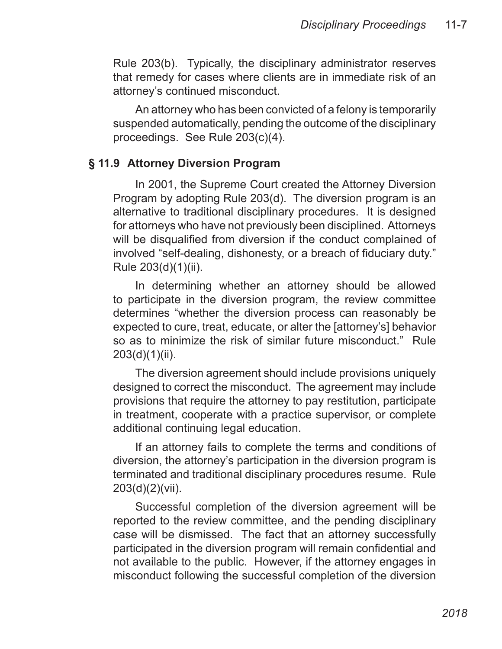Rule 203(b). Typically, the disciplinary administrator reserves that remedy for cases where clients are in immediate risk of an attorney's continued misconduct.

An attorney who has been convicted of a felony is temporarily suspended automatically, pending the outcome of the disciplinary proceedings. See Rule 203(c)(4).

#### **§ 11.9 Attorney Diversion Program**

In 2001, the Supreme Court created the Attorney Diversion Program by adopting Rule 203(d). The diversion program is an alternative to traditional disciplinary procedures. It is designed for attorneys who have not previously been disciplined. Attorneys will be disqualified from diversion if the conduct complained of involved "self-dealing, dishonesty, or a breach of fiduciary duty." Rule 203(d)(1)(ii).

In determining whether an attorney should be allowed to participate in the diversion program, the review committee determines "whether the diversion process can reasonably be expected to cure, treat, educate, or alter the [attorney's] behavior so as to minimize the risk of similar future misconduct." Rule  $203(d)(1)(ii)$ .

The diversion agreement should include provisions uniquely designed to correct the misconduct. The agreement may include provisions that require the attorney to pay restitution, participate in treatment, cooperate with a practice supervisor, or complete additional continuing legal education.

If an attorney fails to complete the terms and conditions of diversion, the attorney's participation in the diversion program is terminated and traditional disciplinary procedures resume. Rule 203(d)(2)(vii).

Successful completion of the diversion agreement will be reported to the review committee, and the pending disciplinary case will be dismissed. The fact that an attorney successfully participated in the diversion program will remain confidential and not available to the public. However, if the attorney engages in misconduct following the successful completion of the diversion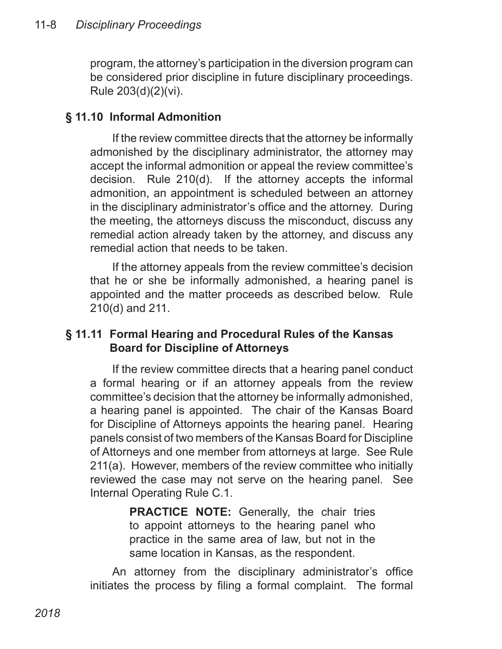program, the attorney's participation in the diversion program can be considered prior discipline in future disciplinary proceedings. Rule 203(d)(2)(vi).

#### **§ 11.10 Informal Admonition**

If the review committee directs that the attorney be informally admonished by the disciplinary administrator, the attorney may accept the informal admonition or appeal the review committee's decision. Rule 210(d). If the attorney accepts the informal admonition, an appointment is scheduled between an attorney in the disciplinary administrator's office and the attorney. During the meeting, the attorneys discuss the misconduct, discuss any remedial action already taken by the attorney, and discuss any remedial action that needs to be taken.

If the attorney appeals from the review committee's decision that he or she be informally admonished, a hearing panel is appointed and the matter proceeds as described below. Rule 210(d) and 211.

## **§ 11.11 Formal Hearing and Procedural Rules of the Kansas Board for Discipline of Attorneys**

If the review committee directs that a hearing panel conduct a formal hearing or if an attorney appeals from the review committee's decision that the attorney be informally admonished, a hearing panel is appointed. The chair of the Kansas Board for Discipline of Attorneys appoints the hearing panel. Hearing panels consist of two members of the Kansas Board for Discipline of Attorneys and one member from attorneys at large. See Rule 211(a). However, members of the review committee who initially reviewed the case may not serve on the hearing panel. See Internal Operating Rule C.1.

> **PRACTICE NOTE:** Generally, the chair tries to appoint attorneys to the hearing panel who practice in the same area of law, but not in the same location in Kansas, as the respondent.

An attorney from the disciplinary administrator's office initiates the process by filing a formal complaint. The formal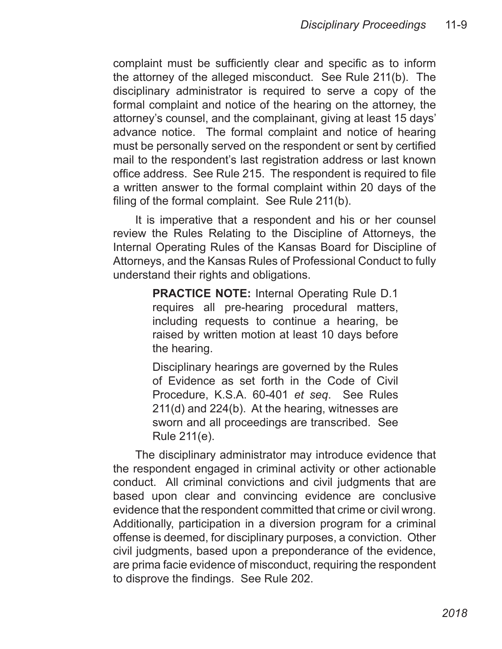complaint must be sufficiently clear and specific as to inform the attorney of the alleged misconduct. See Rule 211(b). The disciplinary administrator is required to serve a copy of the formal complaint and notice of the hearing on the attorney, the attorney's counsel, and the complainant, giving at least 15 days' advance notice. The formal complaint and notice of hearing must be personally served on the respondent or sent by certified mail to the respondent's last registration address or last known office address. See Rule 215. The respondent is required to file a written answer to the formal complaint within 20 days of the filing of the formal complaint. See Rule 211(b).

It is imperative that a respondent and his or her counsel review the Rules Relating to the Discipline of Attorneys, the Internal Operating Rules of the Kansas Board for Discipline of Attorneys, and the Kansas Rules of Professional Conduct to fully understand their rights and obligations.

> **PRACTICE NOTE:** Internal Operating Rule D.1 requires all pre-hearing procedural matters, including requests to continue a hearing, be raised by written motion at least 10 days before the hearing.

> Disciplinary hearings are governed by the Rules of Evidence as set forth in the Code of Civil Procedure, K.S.A. 60-401 *et seq*. See Rules 211(d) and 224(b). At the hearing, witnesses are sworn and all proceedings are transcribed. See Rule 211(e).

The disciplinary administrator may introduce evidence that the respondent engaged in criminal activity or other actionable conduct. All criminal convictions and civil judgments that are based upon clear and convincing evidence are conclusive evidence that the respondent committed that crime or civil wrong. Additionally, participation in a diversion program for a criminal offense is deemed, for disciplinary purposes, a conviction. Other civil judgments, based upon a preponderance of the evidence, are prima facie evidence of misconduct, requiring the respondent to disprove the findings. See Rule 202.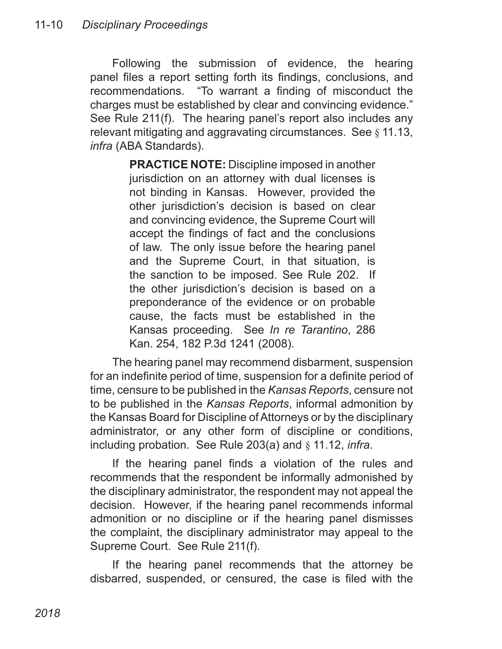Following the submission of evidence, the hearing panel files a report setting forth its findings, conclusions, and recommendations. "To warrant a finding of misconduct the charges must be established by clear and convincing evidence." See Rule 211(f). The hearing panel's report also includes any relevant mitigating and aggravating circumstances. See § 11.13, *infra* (ABA Standards).

> **PRACTICE NOTE:** Discipline imposed in another jurisdiction on an attorney with dual licenses is not binding in Kansas. However, provided the other jurisdiction's decision is based on clear and convincing evidence, the Supreme Court will accept the findings of fact and the conclusions of law. The only issue before the hearing panel and the Supreme Court, in that situation, is the sanction to be imposed. See Rule 202. If the other jurisdiction's decision is based on a preponderance of the evidence or on probable cause, the facts must be established in the Kansas proceeding. See *In re Tarantino*, 286 Kan. 254, 182 P.3d 1241 (2008).

The hearing panel may recommend disbarment, suspension for an indefinite period of time, suspension for a definite period of time, censure to be published in the *Kansas Reports*, censure not to be published in the *Kansas Reports*, informal admonition by the Kansas Board for Discipline of Attorneys or by the disciplinary administrator, or any other form of discipline or conditions, including probation. See Rule 203(a) and § 11.12, *infra*.

If the hearing panel finds a violation of the rules and recommends that the respondent be informally admonished by the disciplinary administrator, the respondent may not appeal the decision. However, if the hearing panel recommends informal admonition or no discipline or if the hearing panel dismisses the complaint, the disciplinary administrator may appeal to the Supreme Court. See Rule 211(f).

If the hearing panel recommends that the attorney be disbarred, suspended, or censured, the case is filed with the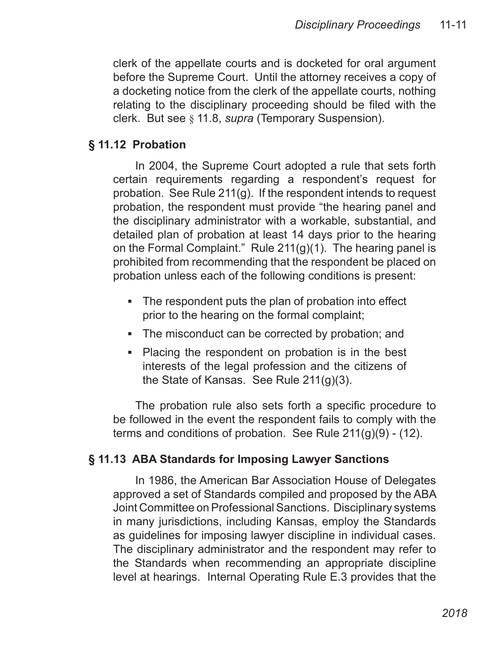clerk of the appellate courts and is docketed for oral argument before the Supreme Court. Until the attorney receives a copy of a docketing notice from the clerk of the appellate courts, nothing relating to the disciplinary proceeding should be filed with the clerk. But see § 11.8, *supra* (Temporary Suspension).

#### **§ 11.12 Probation**

In 2004, the Supreme Court adopted a rule that sets forth certain requirements regarding a respondent's request for probation. See Rule 211(g). If the respondent intends to request probation, the respondent must provide "the hearing panel and the disciplinary administrator with a workable, substantial, and detailed plan of probation at least 14 days prior to the hearing on the Formal Complaint." Rule 211(g)(1). The hearing panel is prohibited from recommending that the respondent be placed on probation unless each of the following conditions is present:

- The respondent puts the plan of probation into effect prior to the hearing on the formal complaint;
- The misconduct can be corrected by probation; and
- Placing the respondent on probation is in the best interests of the legal profession and the citizens of the State of Kansas. See Rule 211(g)(3).

The probation rule also sets forth a specific procedure to be followed in the event the respondent fails to comply with the terms and conditions of probation. See Rule  $211(g)(9)$  - (12).

## **§ 11.13 ABA Standards for Imposing Lawyer Sanctions**

In 1986, the American Bar Association House of Delegates approved a set of Standards compiled and proposed by the ABA Joint Committee on Professional Sanctions. Disciplinary systems in many jurisdictions, including Kansas, employ the Standards as guidelines for imposing lawyer discipline in individual cases. The disciplinary administrator and the respondent may refer to the Standards when recommending an appropriate discipline level at hearings. Internal Operating Rule E.3 provides that the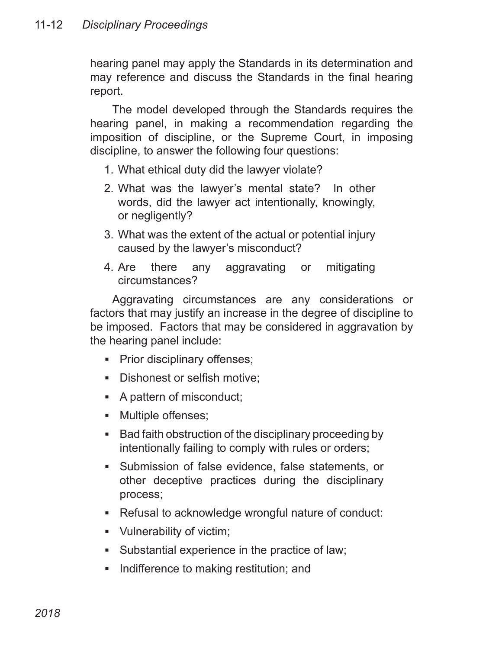hearing panel may apply the Standards in its determination and may reference and discuss the Standards in the final hearing report.

The model developed through the Standards requires the hearing panel, in making a recommendation regarding the imposition of discipline, or the Supreme Court, in imposing discipline, to answer the following four questions:

- 1. What ethical duty did the lawyer violate?
- 2. What was the lawyer's mental state? In other words, did the lawyer act intentionally, knowingly, or negligently?
- 3. What was the extent of the actual or potential injury caused by the lawyer's misconduct?
- 4. Are there any aggravating or mitigating circumstances?

Aggravating circumstances are any considerations or factors that may justify an increase in the degree of discipline to be imposed. Factors that may be considered in aggravation by the hearing panel include:

- Prior disciplinary offenses;
- Dishonest or selfish motive;
- A pattern of misconduct;
- Multiple offenses;
- Bad faith obstruction of the disciplinary proceeding by intentionally failing to comply with rules or orders;
- Submission of false evidence, false statements, or other deceptive practices during the disciplinary process; ▪
- Refusal to acknowledge wrongful nature of conduct:
- Vulnerability of victim; ▪
- Substantial experience in the practice of law; ▪
- Indifference to making restitution; and ▪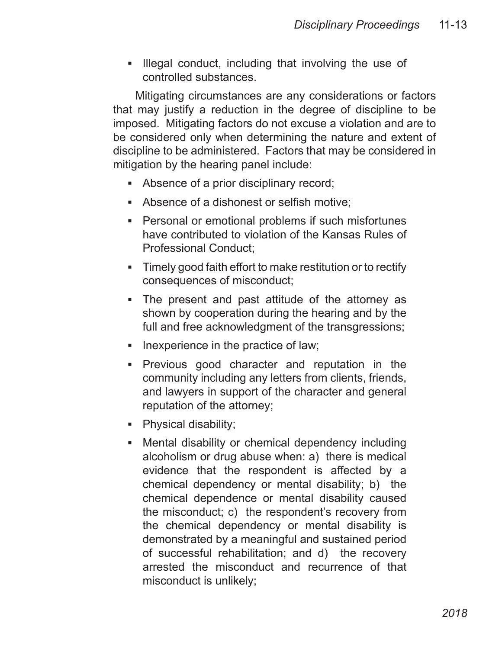**Illegal conduct, including that involving the use of** controlled substances.

Mitigating circumstances are any considerations or factors that may justify a reduction in the degree of discipline to be imposed. Mitigating factors do not excuse a violation and are to be considered only when determining the nature and extent of discipline to be administered. Factors that may be considered in mitigation by the hearing panel include:

- Absence of a prior disciplinary record;
- Absence of a dishonest or selfish motive;
- Personal or emotional problems if such misfortunes have contributed to violation of the Kansas Rules of Professional Conduct;
- Timely good faith effort to make restitution or to rectify consequences of misconduct;
- The present and past attitude of the attorney as shown by cooperation during the hearing and by the full and free acknowledgment of the transgressions;
- **EXEC** Inexperience in the practice of law;
- **Previous good character and reputation in the** community including any letters from clients, friends, and lawyers in support of the character and general reputation of the attorney;
- Physical disability;
- Mental disability or chemical dependency including alcoholism or drug abuse when: a) there is medical evidence that the respondent is affected by a chemical dependency or mental disability; b) the chemical dependence or mental disability caused the misconduct; c) the respondent's recovery from the chemical dependency or mental disability is demonstrated by a meaningful and sustained period of successful rehabilitation; and d) the recovery arrested the misconduct and recurrence of that misconduct is unlikely;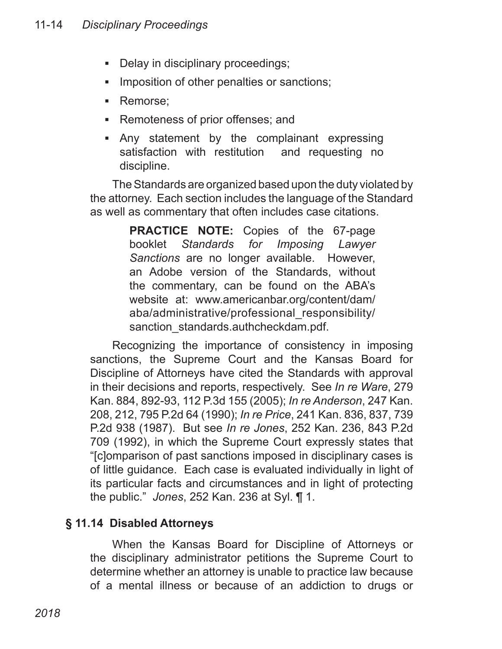- Delay in disciplinary proceedings; ▪
- Imposition of other penalties or sanctions; ▪
- Remorse;
- Remoteness of prior offenses; and
- Any statement by the complainant expressing ▪satisfaction with restitution and requesting no discipline.

The Standards are organized based upon the duty violated by the attorney. Each section includes the language of the Standard as well as commentary that often includes case citations.

> **PRACTICE NOTE:** Copies of the 67-page booklet *Standards for Imposing Lawyer Sanctions* are no longer available. However, an Adobe version of the Standards, without the commentary, can be found on the ABA's website at: www.americanbar.org/content/dam/ aba/administrative/professional\_responsibility/ sanction\_standards.authcheckdam.pdf.

Recognizing the importance of consistency in imposing sanctions, the Supreme Court and the Kansas Board for Discipline of Attorneys have cited the Standards with approval in their decisions and reports, respectively. See *In re Ware*, 279 Kan. 884, 892-93, 112 P.3d 155 (2005); *In re Anderson*, 247 Kan. 208, 212, 795 P.2d 64 (1990); *In re Price*, 241 Kan. 836, 837, 739 P.2d 938 (1987). But see *In re Jones*, 252 Kan. 236, 843 P.2d 709 (1992), in which the Supreme Court expressly states that "[c]omparison of past sanctions imposed in disciplinary cases is of little guidance. Each case is evaluated individually in light of its particular facts and circumstances and in light of protecting the public." *Jones*, 252 Kan. 236 at Syl. ¶ 1.

## **§ 11.14 Disabled Attorneys**

When the Kansas Board for Discipline of Attorneys or the disciplinary administrator petitions the Supreme Court to determine whether an attorney is unable to practice law because of a mental illness or because of an addiction to drugs or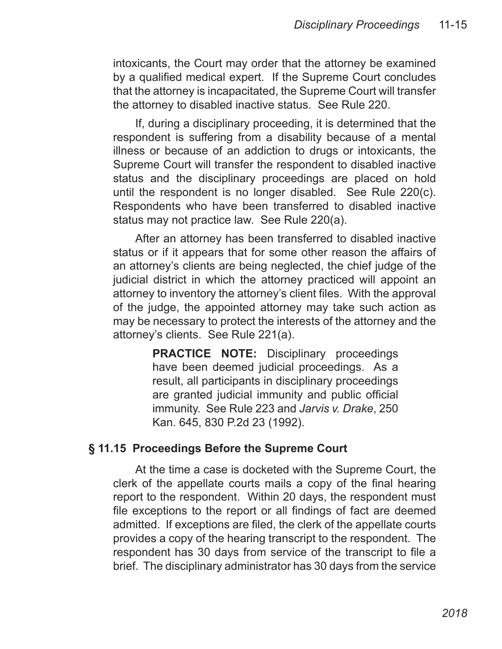intoxicants, the Court may order that the attorney be examined by a qualified medical expert. If the Supreme Court concludes that the attorney is incapacitated, the Supreme Court will transfer the attorney to disabled inactive status. See Rule 220.

If, during a disciplinary proceeding, it is determined that the respondent is suffering from a disability because of a mental illness or because of an addiction to drugs or intoxicants, the Supreme Court will transfer the respondent to disabled inactive status and the disciplinary proceedings are placed on hold until the respondent is no longer disabled. See Rule 220(c). Respondents who have been transferred to disabled inactive status may not practice law. See Rule 220(a).

After an attorney has been transferred to disabled inactive status or if it appears that for some other reason the affairs of an attorney's clients are being neglected, the chief judge of the judicial district in which the attorney practiced will appoint an attorney to inventory the attorney's client files. With the approval of the judge, the appointed attorney may take such action as may be necessary to protect the interests of the attorney and the attorney's clients. See Rule 221(a).

> **PRACTICE NOTE:** Disciplinary proceedings have been deemed judicial proceedings. As a result, all participants in disciplinary proceedings are granted judicial immunity and public official immunity. See Rule 223 and *Jarvis v. Drake*, 250 Kan. 645, 830 P.2d 23 (1992).

#### **§ 11.15 Proceedings Before the Supreme Court**

At the time a case is docketed with the Supreme Court, the clerk of the appellate courts mails a copy of the final hearing report to the respondent. Within 20 days, the respondent must file exceptions to the report or all findings of fact are deemed admitted. If exceptions are filed, the clerk of the appellate courts provides a copy of the hearing transcript to the respondent. The respondent has 30 days from service of the transcript to file a brief. The disciplinary administrator has 30 days from the service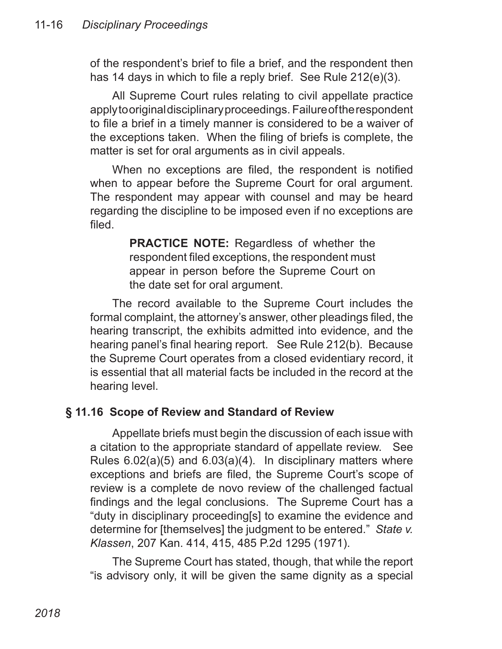of the respondent's brief to file a brief, and the respondent then has 14 days in which to file a reply brief. See Rule 212(e)(3).

All Supreme Court rules relating to civil appellate practice apply to original disciplinary proceedings. Failure of the respondent to file a brief in a timely manner is considered to be a waiver of the exceptions taken. When the filing of briefs is complete, the matter is set for oral arguments as in civil appeals.

When no exceptions are filed, the respondent is notified when to appear before the Supreme Court for oral argument. The respondent may appear with counsel and may be heard regarding the discipline to be imposed even if no exceptions are filed.

> **PRACTICE NOTE:** Regardless of whether the respondent filed exceptions, the respondent must appear in person before the Supreme Court on the date set for oral argument.

The record available to the Supreme Court includes the formal complaint, the attorney's answer, other pleadings filed, the hearing transcript, the exhibits admitted into evidence, and the hearing panel's final hearing report. See Rule 212(b). Because the Supreme Court operates from a closed evidentiary record, it is essential that all material facts be included in the record at the hearing level.

## **§ 11.16 Scope of Review and Standard of Review**

Appellate briefs must begin the discussion of each issue with a citation to the appropriate standard of appellate review. See Rules 6.02(a)(5) and 6.03(a)(4). In disciplinary matters where exceptions and briefs are filed, the Supreme Court's scope of review is a complete de novo review of the challenged factual findings and the legal conclusions. The Supreme Court has a "duty in disciplinary proceeding[s] to examine the evidence and determine for [themselves] the judgment to be entered." *State v. Klassen*, 207 Kan. 414, 415, 485 P.2d 1295 (1971).

The Supreme Court has stated, though, that while the report "is advisory only, it will be given the same dignity as a special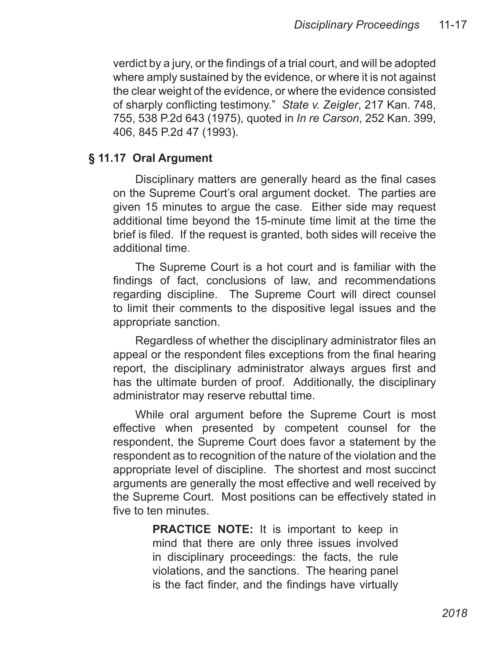verdict by a jury, or the findings of a trial court, and will be adopted where amply sustained by the evidence, or where it is not against the clear weight of the evidence, or where the evidence consisted of sharply conflicting testimony." *State v. Zeigler*, 217 Kan. 748, 755, 538 P.2d 643 (1975), quoted in *In re Carson*, 252 Kan. 399, 406, 845 P.2d 47 (1993).

#### **§ 11.17 Oral Argument**

Disciplinary matters are generally heard as the final cases on the Supreme Court's oral argument docket. The parties are given 15 minutes to argue the case. Either side may request additional time beyond the 15-minute time limit at the time the brief is filed. If the request is granted, both sides will receive the additional time.

The Supreme Court is a hot court and is familiar with the findings of fact, conclusions of law, and recommendations regarding discipline. The Supreme Court will direct counsel to limit their comments to the dispositive legal issues and the appropriate sanction.

Regardless of whether the disciplinary administrator files an appeal or the respondent files exceptions from the final hearing report, the disciplinary administrator always argues first and has the ultimate burden of proof. Additionally, the disciplinary administrator may reserve rebuttal time.

While oral argument before the Supreme Court is most effective when presented by competent counsel for the respondent, the Supreme Court does favor a statement by the respondent as to recognition of the nature of the violation and the appropriate level of discipline. The shortest and most succinct arguments are generally the most effective and well received by the Supreme Court. Most positions can be effectively stated in five to ten minutes.

> **PRACTICE NOTE:** It is important to keep in mind that there are only three issues involved in disciplinary proceedings: the facts, the rule violations, and the sanctions. The hearing panel is the fact finder, and the findings have virtually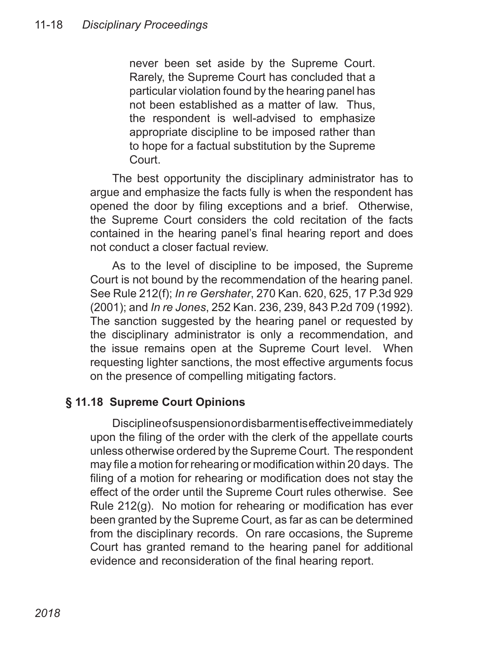never been set aside by the Supreme Court. Rarely, the Supreme Court has concluded that a particular violation found by the hearing panel has not been established as a matter of law. Thus, the respondent is well-advised to emphasize appropriate discipline to be imposed rather than to hope for a factual substitution by the Supreme Court.

The best opportunity the disciplinary administrator has to argue and emphasize the facts fully is when the respondent has opened the door by filing exceptions and a brief. Otherwise, the Supreme Court considers the cold recitation of the facts contained in the hearing panel's final hearing report and does not conduct a closer factual review.

As to the level of discipline to be imposed, the Supreme Court is not bound by the recommendation of the hearing panel. See Rule 212(f); *In re Gershater*, 270 Kan. 620, 625, 17 P.3d 929 (2001); and *In re Jones*, 252 Kan. 236, 239, 843 P.2d 709 (1992). The sanction suggested by the hearing panel or requested by the disciplinary administrator is only a recommendation, and the issue remains open at the Supreme Court level. When requesting lighter sanctions, the most effective arguments focus on the presence of compelling mitigating factors.

## **§ 11.18 Supreme Court Opinions**

Discipline of suspension or disbarment is effective immediately upon the filing of the order with the clerk of the appellate courts unless otherwise ordered by the Supreme Court. The respondent may file a motion for rehearing or modification within 20 days. The filing of a motion for rehearing or modification does not stay the effect of the order until the Supreme Court rules otherwise. See Rule 212(g). No motion for rehearing or modification has ever been granted by the Supreme Court, as far as can be determined from the disciplinary records. On rare occasions, the Supreme Court has granted remand to the hearing panel for additional evidence and reconsideration of the final hearing report.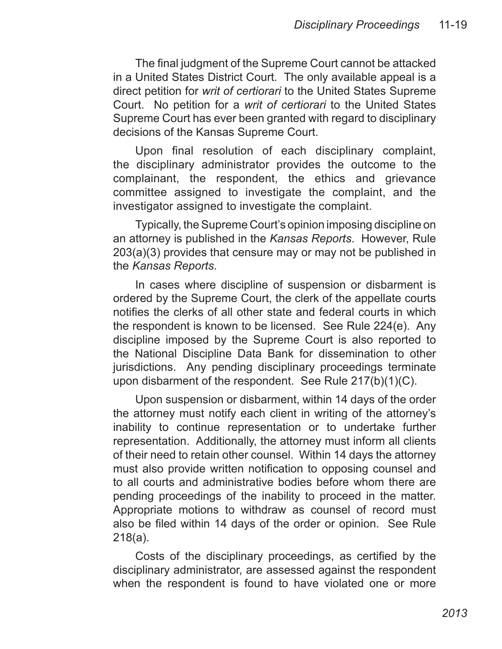The final judgment of the Supreme Court cannot be attacked in a United States District Court. The only available appeal is a direct petition for *writ of certiorari* to the United States Supreme Court. No petition for a *writ of certiorari* to the United States Supreme Court has ever been granted with regard to disciplinary decisions of the Kansas Supreme Court.

Upon final resolution of each disciplinary complaint, the disciplinary administrator provides the outcome to the complainant, the respondent, the ethics and grievance committee assigned to investigate the complaint, and the investigator assigned to investigate the complaint.

Typically, the Supreme Court's opinion imposing discipline on an attorney is published in the *Kansas Reports*. However, Rule 203(a)(3) provides that censure may or may not be published in the *Kansas Reports*.

In cases where discipline of suspension or disbarment is ordered by the Supreme Court, the clerk of the appellate courts notifies the clerks of all other state and federal courts in which the respondent is known to be licensed. See Rule 224(e). Any discipline imposed by the Supreme Court is also reported to the National Discipline Data Bank for dissemination to other jurisdictions. Any pending disciplinary proceedings terminate upon disbarment of the respondent. See Rule 217(b)(1)(C).

Upon suspension or disbarment, within 14 days of the order the attorney must notify each client in writing of the attorney's inability to continue representation or to undertake further representation. Additionally, the attorney must inform all clients of their need to retain other counsel. Within 14 days the attorney must also provide written notification to opposing counsel and to all courts and administrative bodies before whom there are pending proceedings of the inability to proceed in the matter. Appropriate motions to withdraw as counsel of record must also be filed within 14 days of the order or opinion. See Rule 218(a).

Costs of the disciplinary proceedings, as certified by the disciplinary administrator, are assessed against the respondent when the respondent is found to have violated one or more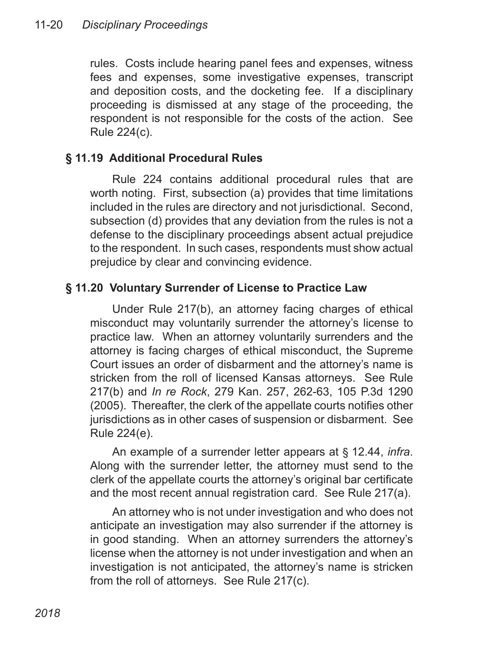rules. Costs include hearing panel fees and expenses, witness fees and expenses, some investigative expenses, transcript and deposition costs, and the docketing fee. If a disciplinary proceeding is dismissed at any stage of the proceeding, the respondent is not responsible for the costs of the action. See Rule 224(c).

## **§ 11.19 Additional Procedural Rules**

Rule 224 contains additional procedural rules that are worth noting. First, subsection (a) provides that time limitations included in the rules are directory and not jurisdictional. Second, subsection (d) provides that any deviation from the rules is not a defense to the disciplinary proceedings absent actual prejudice to the respondent. In such cases, respondents must show actual prejudice by clear and convincing evidence.

## **§ 11.20 Voluntary Surrender of License to Practice Law**

Under Rule 217(b), an attorney facing charges of ethical misconduct may voluntarily surrender the attorney's license to practice law. When an attorney voluntarily surrenders and the attorney is facing charges of ethical misconduct, the Supreme Court issues an order of disbarment and the attorney's name is stricken from the roll of licensed Kansas attorneys. See Rule 217(b) and *In re Rock*, 279 Kan. 257, 262-63, 105 P.3d 1290 (2005). Thereafter, the clerk of the appellate courts notifies other jurisdictions as in other cases of suspension or disbarment. See Rule 224(e).

An example of a surrender letter appears at § 12.44, *infra*. Along with the surrender letter, the attorney must send to the clerk of the appellate courts the attorney's original bar certificate and the most recent annual registration card. See Rule 217(a).

An attorney who is not under investigation and who does not anticipate an investigation may also surrender if the attorney is in good standing. When an attorney surrenders the attorney's license when the attorney is not under investigation and when an investigation is not anticipated, the attorney's name is stricken from the roll of attorneys. See Rule 217(c).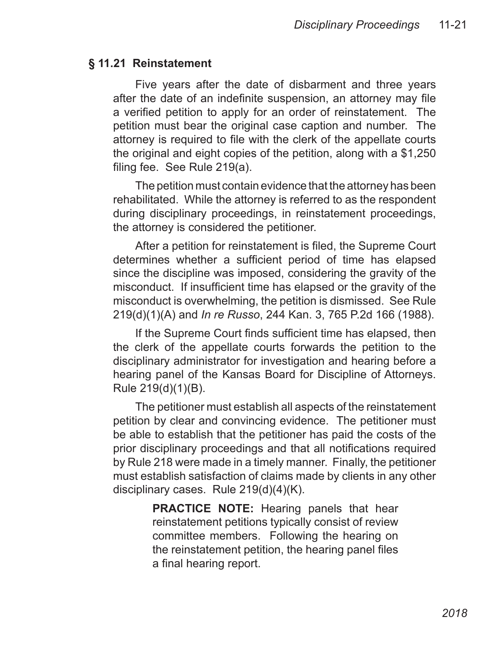#### **§ 11.21 Reinstatement**

Five years after the date of disbarment and three years after the date of an indefinite suspension, an attorney may file a verified petition to apply for an order of reinstatement. The petition must bear the original case caption and number. The attorney is required to file with the clerk of the appellate courts the original and eight copies of the petition, along with a \$1,250 filing fee. See Rule 219(a).

The petition must contain evidence that the attorney has been rehabilitated. While the attorney is referred to as the respondent during disciplinary proceedings, in reinstatement proceedings, the attorney is considered the petitioner.

After a petition for reinstatement is filed, the Supreme Court determines whether a sufficient period of time has elapsed since the discipline was imposed, considering the gravity of the misconduct. If insufficient time has elapsed or the gravity of the misconduct is overwhelming, the petition is dismissed. See Rule 219(d)(1)(A) and *In re Russo*, 244 Kan. 3, 765 P.2d 166 (1988).

If the Supreme Court finds sufficient time has elapsed, then the clerk of the appellate courts forwards the petition to the disciplinary administrator for investigation and hearing before a hearing panel of the Kansas Board for Discipline of Attorneys. Rule 219(d)(1)(B).

The petitioner must establish all aspects of the reinstatement petition by clear and convincing evidence. The petitioner must be able to establish that the petitioner has paid the costs of the prior disciplinary proceedings and that all notifications required by Rule 218 were made in a timely manner. Finally, the petitioner must establish satisfaction of claims made by clients in any other disciplinary cases. Rule 219(d)(4)(K).

> **PRACTICE NOTE:** Hearing panels that hear reinstatement petitions typically consist of review committee members. Following the hearing on the reinstatement petition, the hearing panel files a final hearing report.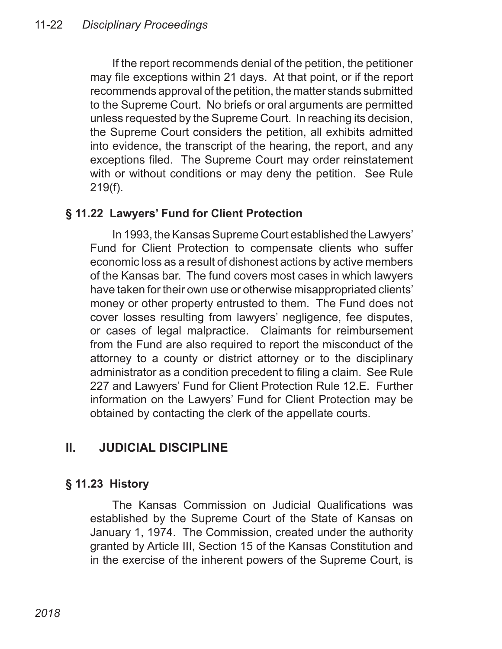If the report recommends denial of the petition, the petitioner may file exceptions within 21 days. At that point, or if the report recommends approval of the petition, the matter stands submitted to the Supreme Court. No briefs or oral arguments are permitted unless requested by the Supreme Court. In reaching its decision, the Supreme Court considers the petition, all exhibits admitted into evidence, the transcript of the hearing, the report, and any exceptions filed. The Supreme Court may order reinstatement with or without conditions or may deny the petition. See Rule 219(f).

## **§ 11.22 Lawyers' Fund for Client Protection**

In 1993, the Kansas Supreme Court established the Lawyers' Fund for Client Protection to compensate clients who suffer economic loss as a result of dishonest actions by active members of the Kansas bar. The fund covers most cases in which lawyers have taken for their own use or otherwise misappropriated clients' money or other property entrusted to them. The Fund does not cover losses resulting from lawyers' negligence, fee disputes, or cases of legal malpractice. Claimants for reimbursement from the Fund are also required to report the misconduct of the attorney to a county or district attorney or to the disciplinary administrator as a condition precedent to filing a claim. See Rule 227 and Lawyers' Fund for Client Protection Rule 12.E. Further information on the Lawyers' Fund for Client Protection may be obtained by contacting the clerk of the appellate courts.

## **II. JUDICIAL DISCIPLINE**

## **§ 11.23 History**

The Kansas Commission on Judicial Qualifications was established by the Supreme Court of the State of Kansas on January 1, 1974. The Commission, created under the authority granted by Article III, Section 15 of the Kansas Constitution and in the exercise of the inherent powers of the Supreme Court, is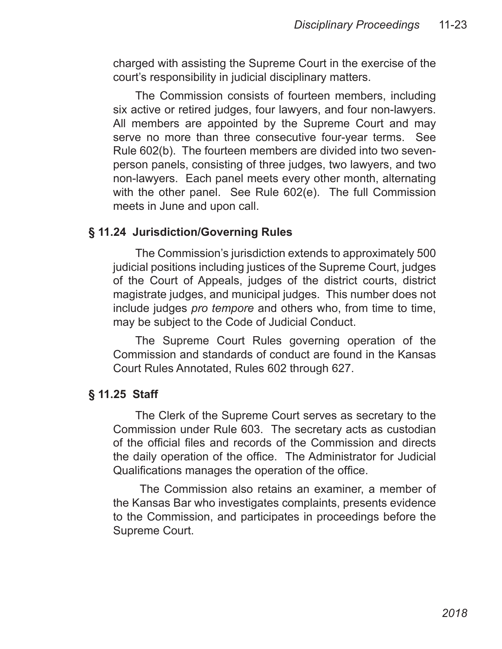charged with assisting the Supreme Court in the exercise of the court's responsibility in judicial disciplinary matters.

The Commission consists of fourteen members, including six active or retired judges, four lawyers, and four non-lawyers. All members are appointed by the Supreme Court and may serve no more than three consecutive four-year terms. See Rule 602(b). The fourteen members are divided into two sevenperson panels, consisting of three judges, two lawyers, and two non-lawyers. Each panel meets every other month, alternating with the other panel. See Rule 602(e). The full Commission meets in June and upon call.

#### **§ 11.24 Jurisdiction/Governing Rules**

The Commission's jurisdiction extends to approximately 500 judicial positions including justices of the Supreme Court, judges of the Court of Appeals, judges of the district courts, district magistrate judges, and municipal judges. This number does not include judges *pro tempore* and others who, from time to time, may be subject to the Code of Judicial Conduct.

The Supreme Court Rules governing operation of the Commission and standards of conduct are found in the Kansas Court Rules Annotated, Rules 602 through 627.

#### **§ 11.25 Staff**

The Clerk of the Supreme Court serves as secretary to the Commission under Rule 603. The secretary acts as custodian of the official files and records of the Commission and directs the daily operation of the office. The Administrator for Judicial Qualifications manages the operation of the office.

 The Commission also retains an examiner, a member of the Kansas Bar who investigates complaints, presents evidence to the Commission, and participates in proceedings before the Supreme Court.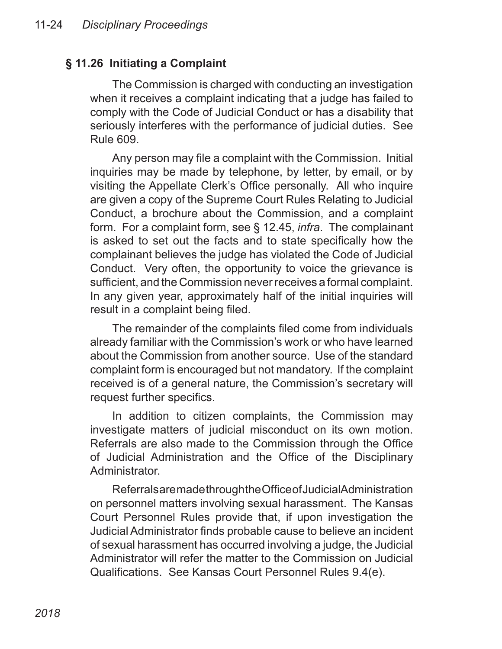## **§ 11.26 Initiating a Complaint**

The Commission is charged with conducting an investigation when it receives a complaint indicating that a judge has failed to comply with the Code of Judicial Conduct or has a disability that seriously interferes with the performance of judicial duties. See Rule 609.

Any person may file a complaint with the Commission. Initial inquiries may be made by telephone, by letter, by email, or by visiting the Appellate Clerk's Office personally. All who inquire are given a copy of the Supreme Court Rules Relating to Judicial Conduct, a brochure about the Commission, and a complaint form. For a complaint form, see § 12.45, *infra*. The complainant is asked to set out the facts and to state specifically how the complainant believes the judge has violated the Code of Judicial Conduct. Very often, the opportunity to voice the grievance is sufficient, and the Commission never receives a formal complaint. In any given year, approximately half of the initial inquiries will result in a complaint being filed.

The remainder of the complaints filed come from individuals already familiar with the Commission's work or who have learned about the Commission from another source. Use of the standard complaint form is encouraged but not mandatory. If the complaint received is of a general nature, the Commission's secretary will request further specifics.

In addition to citizen complaints, the Commission may investigate matters of judicial misconduct on its own motion. Referrals are also made to the Commission through the Office of Judicial Administration and the Office of the Disciplinary Administrator.

Referrals are made through the Office of Judicial Administration on personnel matters involving sexual harassment. The Kansas Court Personnel Rules provide that, if upon investigation the Judicial Administrator finds probable cause to believe an incident of sexual harassment has occurred involving a judge, the Judicial Administrator will refer the matter to the Commission on Judicial Qualifications. See Kansas Court Personnel Rules 9.4(e).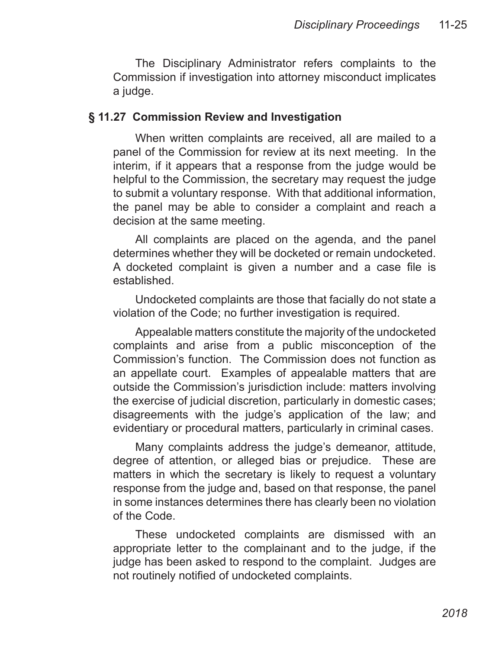The Disciplinary Administrator refers complaints to the Commission if investigation into attorney misconduct implicates a judge.

#### **§ 11.27 Commission Review and Investigation**

When written complaints are received, all are mailed to a panel of the Commission for review at its next meeting. In the interim, if it appears that a response from the judge would be helpful to the Commission, the secretary may request the judge to submit a voluntary response. With that additional information, the panel may be able to consider a complaint and reach a decision at the same meeting.

All complaints are placed on the agenda, and the panel determines whether they will be docketed or remain undocketed. A docketed complaint is given a number and a case file is established.

Undocketed complaints are those that facially do not state a violation of the Code; no further investigation is required.

Appealable matters constitute the majority of the undocketed complaints and arise from a public misconception of the Commission's function. The Commission does not function as an appellate court. Examples of appealable matters that are outside the Commission's jurisdiction include: matters involving the exercise of judicial discretion, particularly in domestic cases; disagreements with the judge's application of the law; and evidentiary or procedural matters, particularly in criminal cases.

Many complaints address the judge's demeanor, attitude, degree of attention, or alleged bias or prejudice. These are matters in which the secretary is likely to request a voluntary response from the judge and, based on that response, the panel in some instances determines there has clearly been no violation of the Code.

These undocketed complaints are dismissed with an appropriate letter to the complainant and to the judge, if the judge has been asked to respond to the complaint. Judges are not routinely notified of undocketed complaints.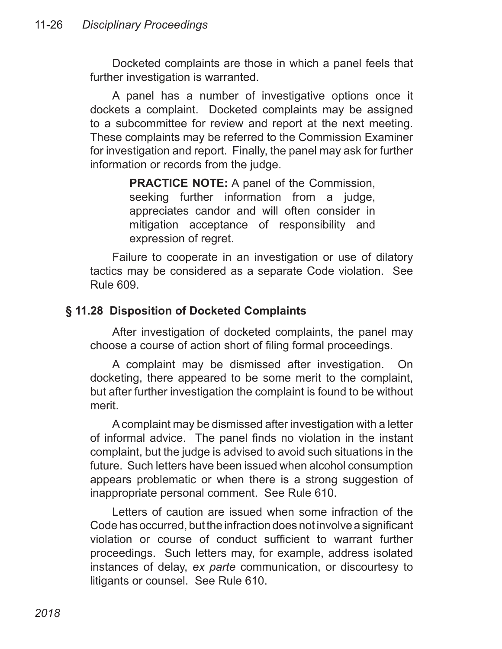Docketed complaints are those in which a panel feels that further investigation is warranted.

A panel has a number of investigative options once it dockets a complaint. Docketed complaints may be assigned to a subcommittee for review and report at the next meeting. These complaints may be referred to the Commission Examiner for investigation and report. Finally, the panel may ask for further information or records from the judge.

> **PRACTICE NOTE:** A panel of the Commission, seeking further information from a judge, appreciates candor and will often consider in mitigation acceptance of responsibility and expression of regret.

Failure to cooperate in an investigation or use of dilatory tactics may be considered as a separate Code violation. See Rule 609.

#### **§ 11.28 Disposition of Docketed Complaints**

After investigation of docketed complaints, the panel may choose a course of action short of filing formal proceedings.

A complaint may be dismissed after investigation. On docketing, there appeared to be some merit to the complaint, but after further investigation the complaint is found to be without merit.

A complaint may be dismissed after investigation with a letter of informal advice. The panel finds no violation in the instant complaint, but the judge is advised to avoid such situations in the future. Such letters have been issued when alcohol consumption appears problematic or when there is a strong suggestion of inappropriate personal comment. See Rule 610.

Letters of caution are issued when some infraction of the Code has occurred, but the infraction does not involve a significant violation or course of conduct sufficient to warrant further proceedings. Such letters may, for example, address isolated instances of delay, *ex parte* communication, or discourtesy to litigants or counsel. See Rule 610.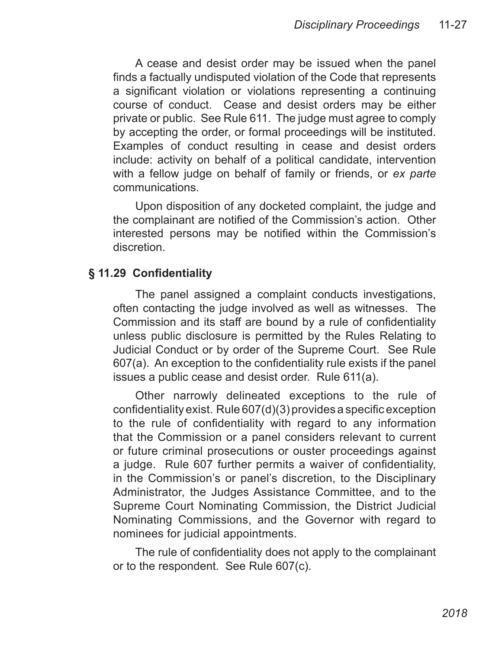A cease and desist order may be issued when the panel finds a factually undisputed violation of the Code that represents a significant violation or violations representing a continuing course of conduct. Cease and desist orders may be either private or public. See Rule 611. The judge must agree to comply by accepting the order, or formal proceedings will be instituted. Examples of conduct resulting in cease and desist orders include: activity on behalf of a political candidate, intervention with a fellow judge on behalf of family or friends, or *ex parte* communications.

Upon disposition of any docketed complaint, the judge and the complainant are notified of the Commission's action. Other interested persons may be notified within the Commission's discretion.

#### **§ 11.29 Confidentiality**

The panel assigned a complaint conducts investigations, often contacting the judge involved as well as witnesses. The Commission and its staff are bound by a rule of confidentiality unless public disclosure is permitted by the Rules Relating to Judicial Conduct or by order of the Supreme Court. See Rule 607(a). An exception to the confidentiality rule exists if the panel issues a public cease and desist order. Rule 611(a).

Other narrowly delineated exceptions to the rule of confidentiality exist. Rule 607(d)(3) provides a specific exception to the rule of confidentiality with regard to any information that the Commission or a panel considers relevant to current or future criminal prosecutions or ouster proceedings against a judge. Rule 607 further permits a waiver of confidentiality, in the Commission's or panel's discretion, to the Disciplinary Administrator, the Judges Assistance Committee, and to the Supreme Court Nominating Commission, the District Judicial Nominating Commissions, and the Governor with regard to nominees for judicial appointments.

The rule of confidentiality does not apply to the complainant or to the respondent. See Rule 607(c).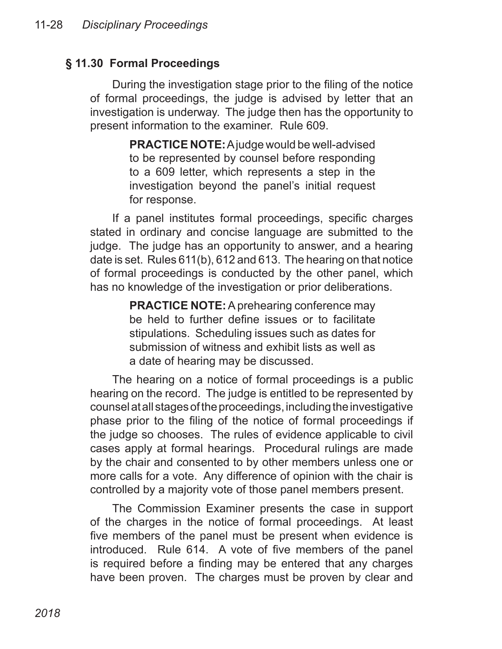## **§ 11.30 Formal Proceedings**

During the investigation stage prior to the filing of the notice of formal proceedings, the judge is advised by letter that an investigation is underway. The judge then has the opportunity to present information to the examiner. Rule 609.

> **PRACTICE NOTE:** A judge would be well-advised to be represented by counsel before responding to a 609 letter, which represents a step in the investigation beyond the panel's initial request for response.

If a panel institutes formal proceedings, specific charges stated in ordinary and concise language are submitted to the judge. The judge has an opportunity to answer, and a hearing date is set. Rules 611(b), 612 and 613. The hearing on that notice of formal proceedings is conducted by the other panel, which has no knowledge of the investigation or prior deliberations.

> **PRACTICE NOTE:** A prehearing conference may be held to further define issues or to facilitate stipulations. Scheduling issues such as dates for submission of witness and exhibit lists as well as a date of hearing may be discussed.

The hearing on a notice of formal proceedings is a public hearing on the record. The judge is entitled to be represented by counsel at all stages of the proceedings, including the investigative phase prior to the filing of the notice of formal proceedings if the judge so chooses. The rules of evidence applicable to civil cases apply at formal hearings. Procedural rulings are made by the chair and consented to by other members unless one or more calls for a vote. Any difference of opinion with the chair is controlled by a majority vote of those panel members present.

The Commission Examiner presents the case in support of the charges in the notice of formal proceedings. At least five members of the panel must be present when evidence is introduced. Rule 614. A vote of five members of the panel is required before a finding may be entered that any charges have been proven. The charges must be proven by clear and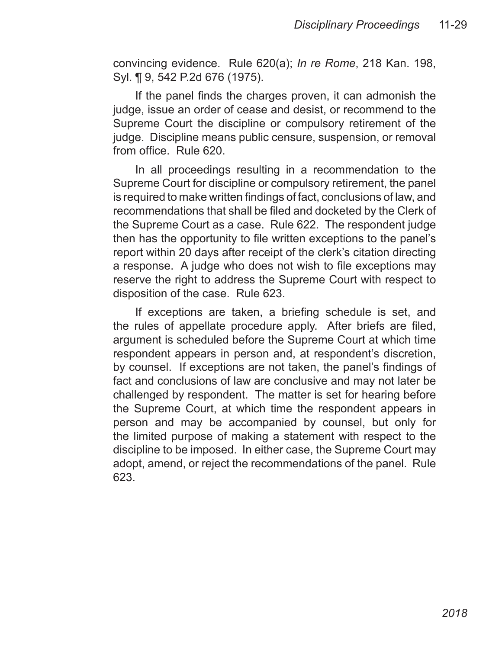convincing evidence. Rule 620(a); *In re Rome*, 218 Kan. 198, Syl. ¶ 9, 542 P.2d 676 (1975).

If the panel finds the charges proven, it can admonish the judge, issue an order of cease and desist, or recommend to the Supreme Court the discipline or compulsory retirement of the judge. Discipline means public censure, suspension, or removal from office. Rule 620.

In all proceedings resulting in a recommendation to the Supreme Court for discipline or compulsory retirement, the panel is required to make written findings of fact, conclusions of law, and recommendations that shall be filed and docketed by the Clerk of the Supreme Court as a case. Rule 622. The respondent judge then has the opportunity to file written exceptions to the panel's report within 20 days after receipt of the clerk's citation directing a response. A judge who does not wish to file exceptions may reserve the right to address the Supreme Court with respect to disposition of the case. Rule 623.

If exceptions are taken, a briefing schedule is set, and the rules of appellate procedure apply. After briefs are filed, argument is scheduled before the Supreme Court at which time respondent appears in person and, at respondent's discretion, by counsel. If exceptions are not taken, the panel's findings of fact and conclusions of law are conclusive and may not later be challenged by respondent. The matter is set for hearing before the Supreme Court, at which time the respondent appears in person and may be accompanied by counsel, but only for the limited purpose of making a statement with respect to the discipline to be imposed. In either case, the Supreme Court may adopt, amend, or reject the recommendations of the panel. Rule 623.